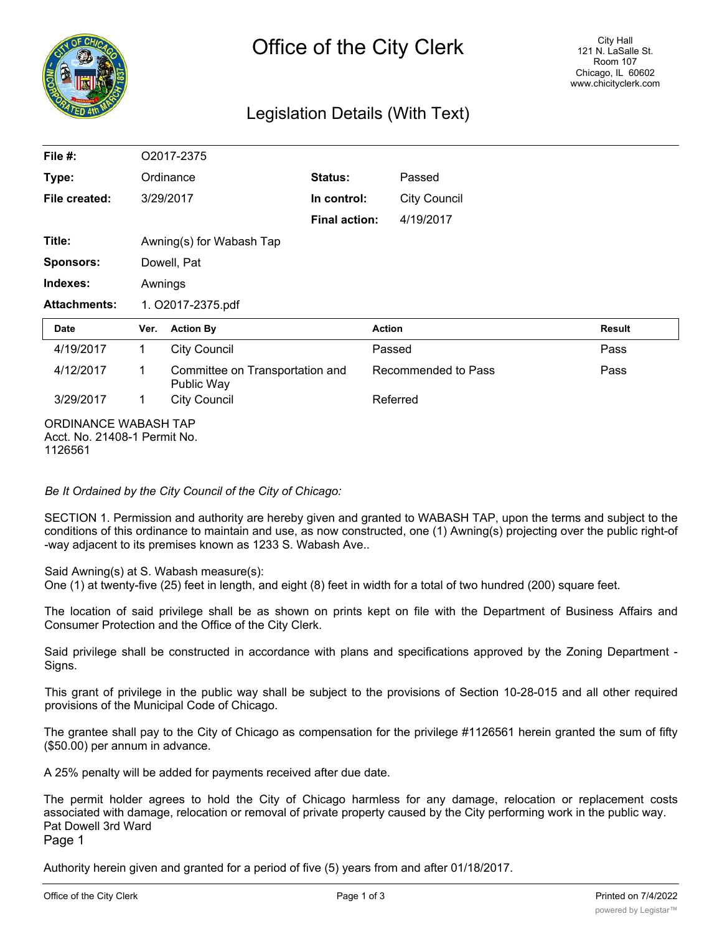

## Legislation Details (With Text)

| File #:              | O2017-2375               |                                               |                      |                     |                     |               |  |
|----------------------|--------------------------|-----------------------------------------------|----------------------|---------------------|---------------------|---------------|--|
| Type:                | Ordinance                |                                               | Status:              |                     | Passed              |               |  |
| File created:        | 3/29/2017                |                                               | In control:          |                     | <b>City Council</b> |               |  |
|                      |                          |                                               | <b>Final action:</b> |                     | 4/19/2017           |               |  |
| Title:               | Awning(s) for Wabash Tap |                                               |                      |                     |                     |               |  |
| <b>Sponsors:</b>     | Dowell, Pat              |                                               |                      |                     |                     |               |  |
| Indexes:             | Awnings                  |                                               |                      |                     |                     |               |  |
| <b>Attachments:</b>  | 1. O2017-2375.pdf        |                                               |                      |                     |                     |               |  |
| Date                 | Ver.                     | <b>Action By</b>                              |                      | <b>Action</b>       |                     | <b>Result</b> |  |
| 4/19/2017            | 1.                       | <b>City Council</b>                           |                      | Passed              |                     | Pass          |  |
| 4/12/2017            | 1                        | Committee on Transportation and<br>Public Way |                      | Recommended to Pass |                     | Pass          |  |
| 3/29/2017            | 1                        | <b>City Council</b>                           |                      | Referred            |                     |               |  |
| ORDINANCE WABASH TAP |                          |                                               |                      |                     |                     |               |  |

Acct. No. 21408-1 Permit No. 1126561

*Be It Ordained by the City Council of the City of Chicago:*

SECTION 1. Permission and authority are hereby given and granted to WABASH TAP, upon the terms and subject to the conditions of this ordinance to maintain and use, as now constructed, one (1) Awning(s) projecting over the public right-of -way adjacent to its premises known as 1233 S. Wabash Ave..

Said Awning(s) at S. Wabash measure(s):

One (1) at twenty-five (25) feet in length, and eight (8) feet in width for a total of two hundred (200) square feet.

The location of said privilege shall be as shown on prints kept on file with the Department of Business Affairs and Consumer Protection and the Office of the City Clerk.

Said privilege shall be constructed in accordance with plans and specifications approved by the Zoning Department - Signs.

This grant of privilege in the public way shall be subject to the provisions of Section 10-28-015 and all other required provisions of the Municipal Code of Chicago.

The grantee shall pay to the City of Chicago as compensation for the privilege #1126561 herein granted the sum of fifty (\$50.00) per annum in advance.

A 25% penalty will be added for payments received after due date.

The permit holder agrees to hold the City of Chicago harmless for any damage, relocation or replacement costs associated with damage, relocation or removal of private property caused by the City performing work in the public way. Pat Dowell 3rd Ward

Page 1

Authority herein given and granted for a period of five (5) years from and after 01/18/2017.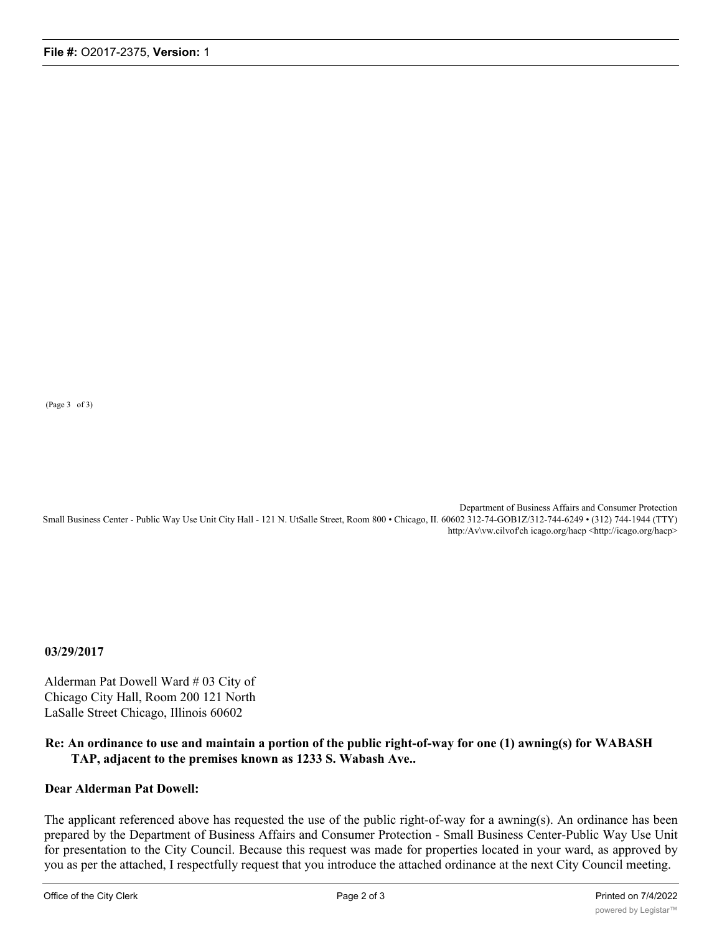(Page 3 of 3)

Department of Business Affairs and Consumer Protection Small Business Center - Public Way Use Unit City Hall - 121 N. UtSalle Street, Room 800 • Chicago, II. 60602 312-74-GOB1Z/312-744-6249 • (312) 744-1944 (TTY) http:/Av\vw.cilvof'ch icago.org/hacp <http://icago.org/hacp>

**03/29/2017**

Alderman Pat Dowell Ward # 03 City of Chicago City Hall, Room 200 121 North LaSalle Street Chicago, Illinois 60602

## **Re: An ordinance to use and maintain a portion of the public right-of-way for one (1) awning(s) for WABASH TAP, adjacent to the premises known as 1233 S. Wabash Ave..**

## **Dear Alderman Pat Dowell:**

The applicant referenced above has requested the use of the public right-of-way for a awning(s). An ordinance has been prepared by the Department of Business Affairs and Consumer Protection - Small Business Center-Public Way Use Unit for presentation to the City Council. Because this request was made for properties located in your ward, as approved by you as per the attached, I respectfully request that you introduce the attached ordinance at the next City Council meeting.